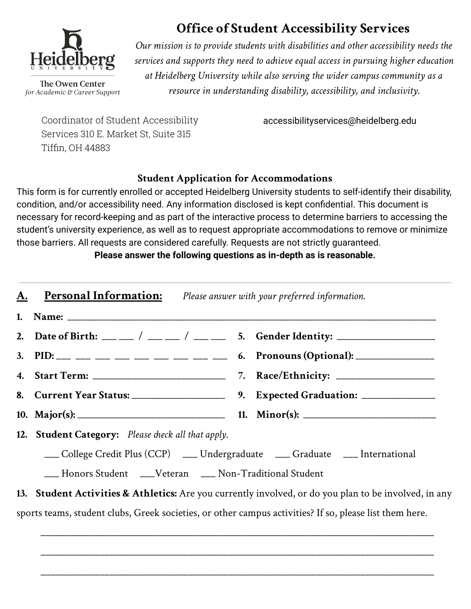

The Owen Center for Academic & Career Support

# **Office of Student Accessibility Services**

*Our mission is to provide students with disabilities and other accessibility needs the services and supports they need to achieve equal access in pursuing higher education at Heidelberg University while also serving the wider campus community as a resource in understanding disability, accessibility, and inclusivity.* 

Coordinator of Student Accessibility accessibilityservices@heidelberg.edu Services 310 E. Market St, Suite 315 Tiffin, OH 44883

## **Student Application for Accommodations**

This form is for currently enrolled or accepted Heidelberg University students to self-identify their disability, condition, and/or accessibility need. Any information disclosed is kept confidential. This document is necessary for record-keeping and as part of the interactive process to determine barriers to accessing the student's university experience, as well as to request appropriate accommodations to remove or minimize those barriers. All requests are considered carefully. Requests are not strictly guaranteed.

### **Please answer the following questions as in-depth as is reasonable.**

| A.                                                                                                      | <b>Personal Information:</b> Please answer with your preferred information.                           |  |  |  |  |  |  |  |
|---------------------------------------------------------------------------------------------------------|-------------------------------------------------------------------------------------------------------|--|--|--|--|--|--|--|
| 1.                                                                                                      |                                                                                                       |  |  |  |  |  |  |  |
|                                                                                                         | 2. Date of Birth: __ _ / __ _ / __ _ / _ _ _ 5. Gender Identity: _______________                      |  |  |  |  |  |  |  |
|                                                                                                         | 3. PID: __ __ __ __ __ __ __ __ __ __ __ 6. Pronouns (Optional): _____________                        |  |  |  |  |  |  |  |
|                                                                                                         |                                                                                                       |  |  |  |  |  |  |  |
|                                                                                                         |                                                                                                       |  |  |  |  |  |  |  |
|                                                                                                         |                                                                                                       |  |  |  |  |  |  |  |
|                                                                                                         | <b>12.</b> Student Category: Please check all that apply.                                             |  |  |  |  |  |  |  |
|                                                                                                         | __ College Credit Plus (CCP) __ Undergraduate __ Graduate __ International                            |  |  |  |  |  |  |  |
|                                                                                                         | __ Honors Student ___Veteran ___ Non-Traditional Student                                              |  |  |  |  |  |  |  |
|                                                                                                         | 13. Student Activities & Athletics: Are you currently involved, or do you plan to be involved, in any |  |  |  |  |  |  |  |
| sports teams, student clubs, Greek societies, or other campus activities? If so, please list them here. |                                                                                                       |  |  |  |  |  |  |  |
|                                                                                                         |                                                                                                       |  |  |  |  |  |  |  |

\_\_\_\_\_\_\_\_\_\_\_\_\_\_\_\_\_\_\_\_\_\_\_\_\_\_\_\_\_\_\_\_\_\_\_\_\_\_\_\_\_\_\_\_\_\_\_\_\_\_\_\_\_\_\_\_\_\_\_\_\_\_\_\_\_\_\_\_\_\_\_\_\_\_\_\_\_\_\_\_

\_\_\_\_\_\_\_\_\_\_\_\_\_\_\_\_\_\_\_\_\_\_\_\_\_\_\_\_\_\_\_\_\_\_\_\_\_\_\_\_\_\_\_\_\_\_\_\_\_\_\_\_\_\_\_\_\_\_\_\_\_\_\_\_\_\_\_\_\_\_\_\_\_\_\_\_\_\_\_\_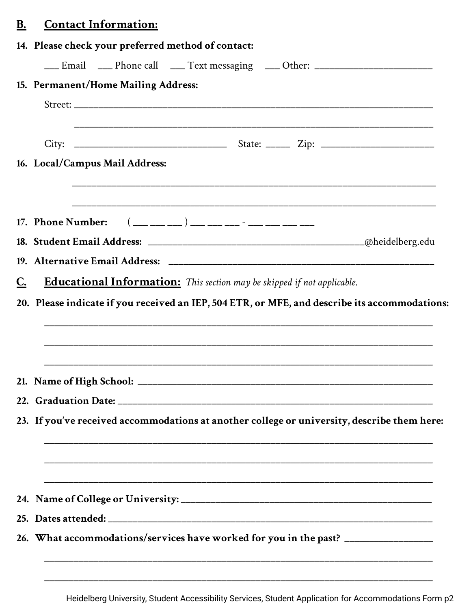## **B. Contact Information:**

|                          | 14. Please check your preferred method of contact:                                                                    |  |  |  |  |  |  |
|--------------------------|-----------------------------------------------------------------------------------------------------------------------|--|--|--|--|--|--|
|                          | __ Email __ Phone call __ Text messaging __ Other: _____________________________                                      |  |  |  |  |  |  |
|                          | 15. Permanent/Home Mailing Address:                                                                                   |  |  |  |  |  |  |
|                          |                                                                                                                       |  |  |  |  |  |  |
|                          |                                                                                                                       |  |  |  |  |  |  |
|                          |                                                                                                                       |  |  |  |  |  |  |
|                          | 16. Local/Campus Mail Address:                                                                                        |  |  |  |  |  |  |
|                          | <u> 1989 - Johann Harry Harry Harry Harry Harry Harry Harry Harry Harry Harry Harry Harry Harry Harry Harry Harry</u> |  |  |  |  |  |  |
|                          | 17. Phone Number: $(\_ \_ \_ \_ \_ \_ )\_ \_ \_ \_ \_ \_ \_ \_ \_ \_ \_ \_ \_$                                        |  |  |  |  |  |  |
|                          |                                                                                                                       |  |  |  |  |  |  |
|                          |                                                                                                                       |  |  |  |  |  |  |
| $\underline{\mathbf{C}}$ | <b>Educational Information:</b> This section may be skipped if not applicable.                                        |  |  |  |  |  |  |
|                          |                                                                                                                       |  |  |  |  |  |  |
|                          |                                                                                                                       |  |  |  |  |  |  |
|                          |                                                                                                                       |  |  |  |  |  |  |
|                          | 23. If you've received accommodations at another college or university, describe them here:                           |  |  |  |  |  |  |
|                          |                                                                                                                       |  |  |  |  |  |  |
|                          |                                                                                                                       |  |  |  |  |  |  |
|                          |                                                                                                                       |  |  |  |  |  |  |
|                          | 26. What accommodations/services have worked for you in the past? ______________                                      |  |  |  |  |  |  |
|                          |                                                                                                                       |  |  |  |  |  |  |
|                          |                                                                                                                       |  |  |  |  |  |  |

Heidelberg University, Student Accessibility Services, Student Application for Accommodations Form p2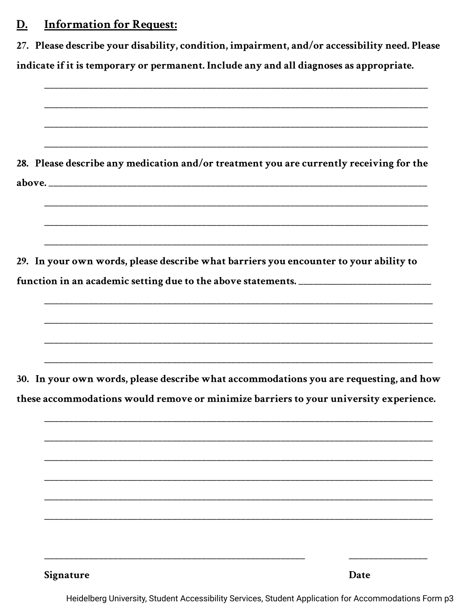#### **Information for Request:** D.

27. Please describe your disability, condition, impairment, and/or accessibility need. Please

indicate if it is temporary or permanent. Include any and all diagnoses as appropriate.

28. Please describe any medication and/or treatment you are currently receiving for the  $above.$ 29. In your own words, please describe what barriers you encounter to your ability to function in an academic setting due to the above statements. \_\_\_\_\_\_\_\_\_\_\_\_\_\_\_\_\_\_\_ 30. In your own words, please describe what accommodations you are requesting, and how these accommodations would remove or minimize barriers to your university experience. Signature Date

Heidelberg University, Student Accessibility Services, Student Application for Accommodations Form p3